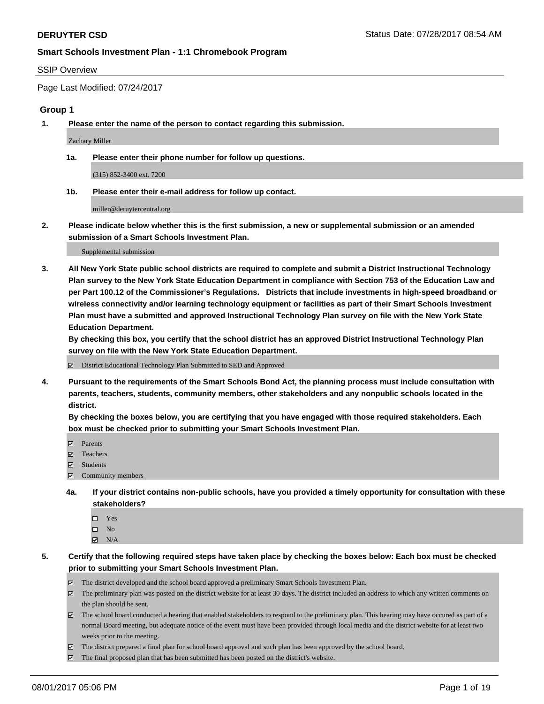#### SSIP Overview

Page Last Modified: 07/24/2017

### **Group 1**

**1. Please enter the name of the person to contact regarding this submission.**

Zachary Miller

**1a. Please enter their phone number for follow up questions.**

(315) 852-3400 ext. 7200

**1b. Please enter their e-mail address for follow up contact.**

miller@deruytercentral.org

**2. Please indicate below whether this is the first submission, a new or supplemental submission or an amended submission of a Smart Schools Investment Plan.**

Supplemental submission

**3. All New York State public school districts are required to complete and submit a District Instructional Technology Plan survey to the New York State Education Department in compliance with Section 753 of the Education Law and per Part 100.12 of the Commissioner's Regulations. Districts that include investments in high-speed broadband or wireless connectivity and/or learning technology equipment or facilities as part of their Smart Schools Investment Plan must have a submitted and approved Instructional Technology Plan survey on file with the New York State Education Department.** 

**By checking this box, you certify that the school district has an approved District Instructional Technology Plan survey on file with the New York State Education Department.**

District Educational Technology Plan Submitted to SED and Approved

**4. Pursuant to the requirements of the Smart Schools Bond Act, the planning process must include consultation with parents, teachers, students, community members, other stakeholders and any nonpublic schools located in the district.** 

**By checking the boxes below, you are certifying that you have engaged with those required stakeholders. Each box must be checked prior to submitting your Smart Schools Investment Plan.**

- **マ** Parents
- □ Teachers
- Students
- $\Xi$  Community members
- **4a. If your district contains non-public schools, have you provided a timely opportunity for consultation with these stakeholders?**
	- Yes
	- $\hfill \square$  No
	- $\boxtimes$  N/A
- **5. Certify that the following required steps have taken place by checking the boxes below: Each box must be checked prior to submitting your Smart Schools Investment Plan.**
	- The district developed and the school board approved a preliminary Smart Schools Investment Plan.
	- $\boxtimes$  The preliminary plan was posted on the district website for at least 30 days. The district included an address to which any written comments on the plan should be sent.
	- $\boxtimes$  The school board conducted a hearing that enabled stakeholders to respond to the preliminary plan. This hearing may have occured as part of a normal Board meeting, but adequate notice of the event must have been provided through local media and the district website for at least two weeks prior to the meeting.
	- The district prepared a final plan for school board approval and such plan has been approved by the school board.
	- $\boxtimes$  The final proposed plan that has been submitted has been posted on the district's website.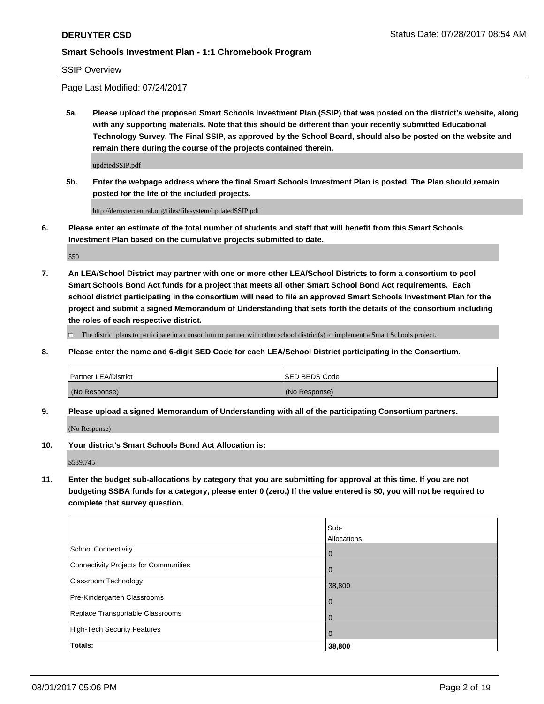SSIP Overview

Page Last Modified: 07/24/2017

**5a. Please upload the proposed Smart Schools Investment Plan (SSIP) that was posted on the district's website, along with any supporting materials. Note that this should be different than your recently submitted Educational Technology Survey. The Final SSIP, as approved by the School Board, should also be posted on the website and remain there during the course of the projects contained therein.**

updatedSSIP.pdf

**5b. Enter the webpage address where the final Smart Schools Investment Plan is posted. The Plan should remain posted for the life of the included projects.**

http://deruytercentral.org/files/filesystem/updatedSSIP.pdf

**6. Please enter an estimate of the total number of students and staff that will benefit from this Smart Schools Investment Plan based on the cumulative projects submitted to date.**

550

**7. An LEA/School District may partner with one or more other LEA/School Districts to form a consortium to pool Smart Schools Bond Act funds for a project that meets all other Smart School Bond Act requirements. Each school district participating in the consortium will need to file an approved Smart Schools Investment Plan for the project and submit a signed Memorandum of Understanding that sets forth the details of the consortium including the roles of each respective district.**

 $\Box$  The district plans to participate in a consortium to partner with other school district(s) to implement a Smart Schools project.

**8. Please enter the name and 6-digit SED Code for each LEA/School District participating in the Consortium.**

| <b>Partner LEA/District</b> | <b>ISED BEDS Code</b> |
|-----------------------------|-----------------------|
| (No Response)               | (No Response)         |

**9. Please upload a signed Memorandum of Understanding with all of the participating Consortium partners.**

(No Response)

**10. Your district's Smart Schools Bond Act Allocation is:**

\$539,745

**11. Enter the budget sub-allocations by category that you are submitting for approval at this time. If you are not budgeting SSBA funds for a category, please enter 0 (zero.) If the value entered is \$0, you will not be required to complete that survey question.**

|                                       | Sub-<br>Allocations |
|---------------------------------------|---------------------|
| <b>School Connectivity</b>            | $\overline{0}$      |
| Connectivity Projects for Communities | 0                   |
| Classroom Technology                  | 38,800              |
| Pre-Kindergarten Classrooms           | $\overline{0}$      |
| Replace Transportable Classrooms      | 0                   |
| <b>High-Tech Security Features</b>    | $\overline{0}$      |
| Totals:                               | 38,800              |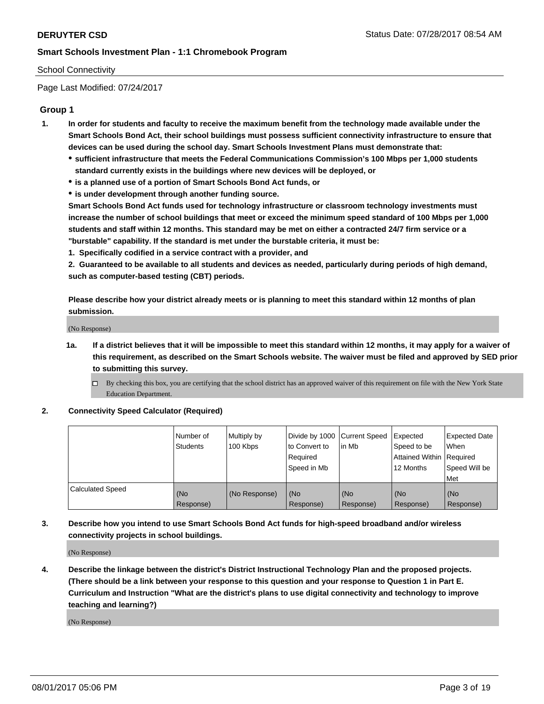## School Connectivity

Page Last Modified: 07/24/2017

## **Group 1**

- **1. In order for students and faculty to receive the maximum benefit from the technology made available under the Smart Schools Bond Act, their school buildings must possess sufficient connectivity infrastructure to ensure that devices can be used during the school day. Smart Schools Investment Plans must demonstrate that:**
	- **sufficient infrastructure that meets the Federal Communications Commission's 100 Mbps per 1,000 students standard currently exists in the buildings where new devices will be deployed, or**
	- **is a planned use of a portion of Smart Schools Bond Act funds, or**
	- **is under development through another funding source.**

**Smart Schools Bond Act funds used for technology infrastructure or classroom technology investments must increase the number of school buildings that meet or exceed the minimum speed standard of 100 Mbps per 1,000 students and staff within 12 months. This standard may be met on either a contracted 24/7 firm service or a "burstable" capability. If the standard is met under the burstable criteria, it must be:**

**1. Specifically codified in a service contract with a provider, and**

**2. Guaranteed to be available to all students and devices as needed, particularly during periods of high demand, such as computer-based testing (CBT) periods.**

**Please describe how your district already meets or is planning to meet this standard within 12 months of plan submission.**

(No Response)

- **1a. If a district believes that it will be impossible to meet this standard within 12 months, it may apply for a waiver of this requirement, as described on the Smart Schools website. The waiver must be filed and approved by SED prior to submitting this survey.**
	- By checking this box, you are certifying that the school district has an approved waiver of this requirement on file with the New York State Education Department.

#### **2. Connectivity Speed Calculator (Required)**

|                         | l Number of<br><b>Students</b> | Multiply by<br>100 Kbps | Divide by 1000   Current Speed<br>to Convert to<br>Required<br>l Speed in Mb | in Mb            | Expected<br>Speed to be<br>Attained Within Required<br>12 Months | <b>Expected Date</b><br>When<br>Speed Will be<br><b>Met</b> |
|-------------------------|--------------------------------|-------------------------|------------------------------------------------------------------------------|------------------|------------------------------------------------------------------|-------------------------------------------------------------|
| <b>Calculated Speed</b> | (No<br>Response)               | (No Response)           | (No<br>Response)                                                             | (No<br>Response) | (No<br>Response)                                                 | l (No<br>Response)                                          |

## **3. Describe how you intend to use Smart Schools Bond Act funds for high-speed broadband and/or wireless connectivity projects in school buildings.**

(No Response)

**4. Describe the linkage between the district's District Instructional Technology Plan and the proposed projects. (There should be a link between your response to this question and your response to Question 1 in Part E. Curriculum and Instruction "What are the district's plans to use digital connectivity and technology to improve teaching and learning?)**

(No Response)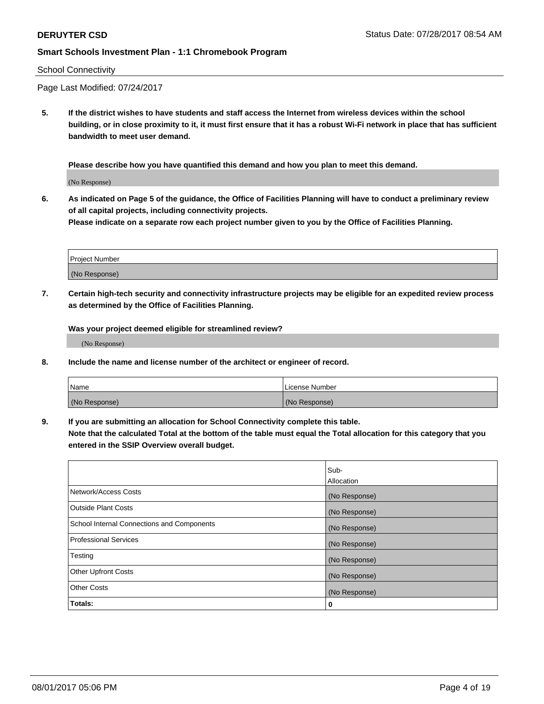#### School Connectivity

Page Last Modified: 07/24/2017

**5. If the district wishes to have students and staff access the Internet from wireless devices within the school building, or in close proximity to it, it must first ensure that it has a robust Wi-Fi network in place that has sufficient bandwidth to meet user demand.**

**Please describe how you have quantified this demand and how you plan to meet this demand.**

(No Response)

**6. As indicated on Page 5 of the guidance, the Office of Facilities Planning will have to conduct a preliminary review of all capital projects, including connectivity projects.**

**Please indicate on a separate row each project number given to you by the Office of Facilities Planning.**

| Project Number |  |
|----------------|--|
|                |  |
| (No Response)  |  |

**7. Certain high-tech security and connectivity infrastructure projects may be eligible for an expedited review process as determined by the Office of Facilities Planning.**

**Was your project deemed eligible for streamlined review?**

(No Response)

**8. Include the name and license number of the architect or engineer of record.**

| Name          | License Number |
|---------------|----------------|
| (No Response) | (No Response)  |

**9. If you are submitting an allocation for School Connectivity complete this table.**

**Note that the calculated Total at the bottom of the table must equal the Total allocation for this category that you entered in the SSIP Overview overall budget.** 

|                                            | Sub-          |
|--------------------------------------------|---------------|
|                                            | Allocation    |
| Network/Access Costs                       | (No Response) |
| Outside Plant Costs                        | (No Response) |
| School Internal Connections and Components | (No Response) |
| <b>Professional Services</b>               | (No Response) |
| Testing                                    | (No Response) |
| <b>Other Upfront Costs</b>                 | (No Response) |
| <b>Other Costs</b>                         | (No Response) |
| Totals:                                    | 0             |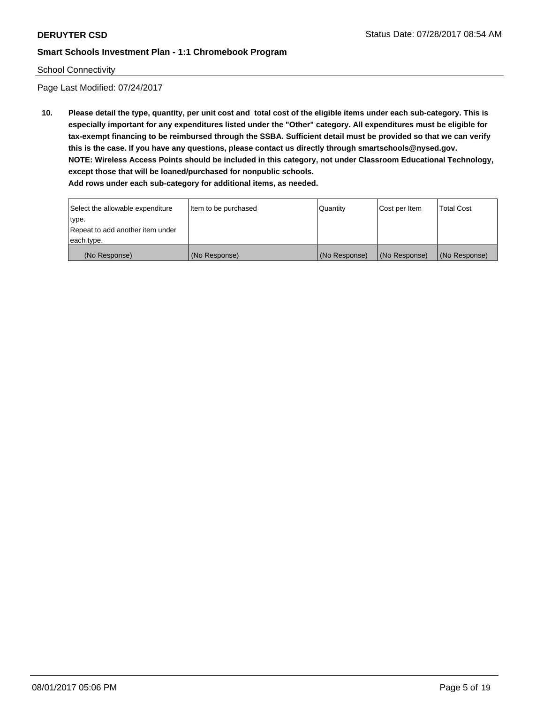#### School Connectivity

Page Last Modified: 07/24/2017

**10. Please detail the type, quantity, per unit cost and total cost of the eligible items under each sub-category. This is especially important for any expenditures listed under the "Other" category. All expenditures must be eligible for tax-exempt financing to be reimbursed through the SSBA. Sufficient detail must be provided so that we can verify this is the case. If you have any questions, please contact us directly through smartschools@nysed.gov. NOTE: Wireless Access Points should be included in this category, not under Classroom Educational Technology, except those that will be loaned/purchased for nonpublic schools.**

| Select the allowable expenditure | Item to be purchased | Quantity      | Cost per Item | Total Cost    |
|----------------------------------|----------------------|---------------|---------------|---------------|
| type.                            |                      |               |               |               |
| Repeat to add another item under |                      |               |               |               |
| each type.                       |                      |               |               |               |
| (No Response)                    | (No Response)        | (No Response) | (No Response) | (No Response) |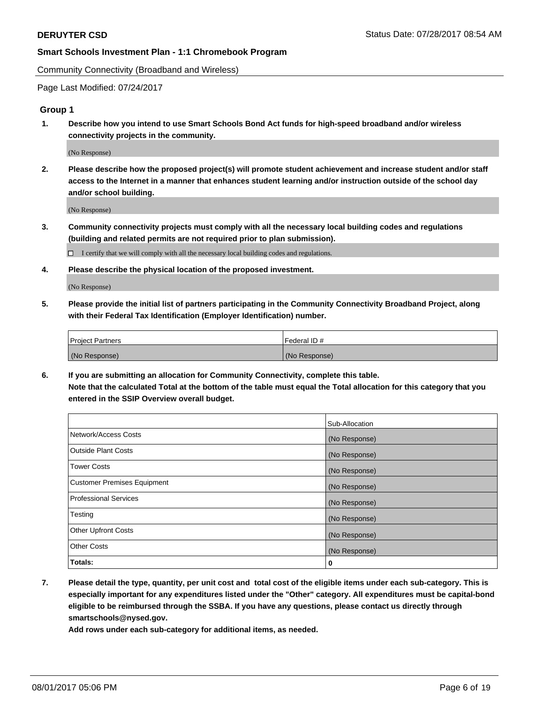Community Connectivity (Broadband and Wireless)

Page Last Modified: 07/24/2017

### **Group 1**

**1. Describe how you intend to use Smart Schools Bond Act funds for high-speed broadband and/or wireless connectivity projects in the community.**

(No Response)

**2. Please describe how the proposed project(s) will promote student achievement and increase student and/or staff access to the Internet in a manner that enhances student learning and/or instruction outside of the school day and/or school building.**

(No Response)

**3. Community connectivity projects must comply with all the necessary local building codes and regulations (building and related permits are not required prior to plan submission).**

 $\Box$  I certify that we will comply with all the necessary local building codes and regulations.

**4. Please describe the physical location of the proposed investment.**

(No Response)

**5. Please provide the initial list of partners participating in the Community Connectivity Broadband Project, along with their Federal Tax Identification (Employer Identification) number.**

| <b>Project Partners</b> | Federal ID#     |
|-------------------------|-----------------|
| (No Response)           | l (No Response) |

**6. If you are submitting an allocation for Community Connectivity, complete this table. Note that the calculated Total at the bottom of the table must equal the Total allocation for this category that you entered in the SSIP Overview overall budget.**

|                                    | Sub-Allocation |
|------------------------------------|----------------|
| Network/Access Costs               | (No Response)  |
| Outside Plant Costs                | (No Response)  |
| <b>Tower Costs</b>                 | (No Response)  |
| <b>Customer Premises Equipment</b> | (No Response)  |
| <b>Professional Services</b>       | (No Response)  |
| Testing                            | (No Response)  |
| <b>Other Upfront Costs</b>         | (No Response)  |
| <b>Other Costs</b>                 | (No Response)  |
| Totals:                            | 0              |

**7. Please detail the type, quantity, per unit cost and total cost of the eligible items under each sub-category. This is especially important for any expenditures listed under the "Other" category. All expenditures must be capital-bond eligible to be reimbursed through the SSBA. If you have any questions, please contact us directly through smartschools@nysed.gov.**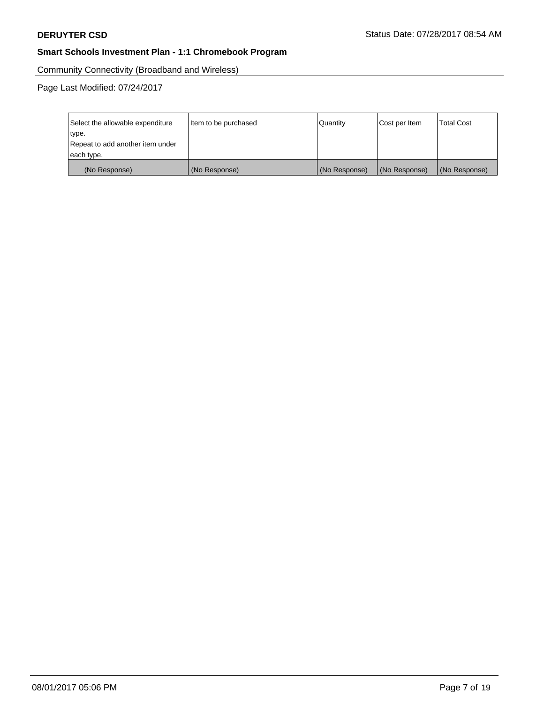Community Connectivity (Broadband and Wireless)

Page Last Modified: 07/24/2017

| Select the allowable expenditure<br>type.<br>Repeat to add another item under | Item to be purchased | Quantity      | Cost per Item | <b>Total Cost</b> |
|-------------------------------------------------------------------------------|----------------------|---------------|---------------|-------------------|
| each type.                                                                    |                      |               |               |                   |
| (No Response)                                                                 | (No Response)        | (No Response) | (No Response) | (No Response)     |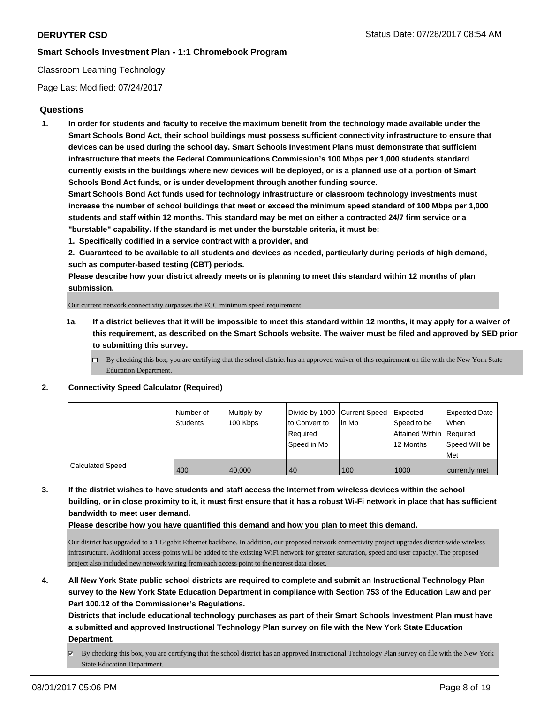## Classroom Learning Technology

Page Last Modified: 07/24/2017

## **Questions**

**1. In order for students and faculty to receive the maximum benefit from the technology made available under the Smart Schools Bond Act, their school buildings must possess sufficient connectivity infrastructure to ensure that devices can be used during the school day. Smart Schools Investment Plans must demonstrate that sufficient infrastructure that meets the Federal Communications Commission's 100 Mbps per 1,000 students standard currently exists in the buildings where new devices will be deployed, or is a planned use of a portion of Smart Schools Bond Act funds, or is under development through another funding source.**

**Smart Schools Bond Act funds used for technology infrastructure or classroom technology investments must increase the number of school buildings that meet or exceed the minimum speed standard of 100 Mbps per 1,000 students and staff within 12 months. This standard may be met on either a contracted 24/7 firm service or a "burstable" capability. If the standard is met under the burstable criteria, it must be:**

**1. Specifically codified in a service contract with a provider, and**

**2. Guaranteed to be available to all students and devices as needed, particularly during periods of high demand, such as computer-based testing (CBT) periods.**

**Please describe how your district already meets or is planning to meet this standard within 12 months of plan submission.**

Our current network connectivity surpasses the FCC minimum speed requirement

- **1a. If a district believes that it will be impossible to meet this standard within 12 months, it may apply for a waiver of this requirement, as described on the Smart Schools website. The waiver must be filed and approved by SED prior to submitting this survey.**
	- $\Box$  By checking this box, you are certifying that the school district has an approved waiver of this requirement on file with the New York State Education Department.

#### **2. Connectivity Speed Calculator (Required)**

|                         | Number of<br><b>Students</b> | Multiply by<br>100 Kbps | Divide by 1000 Current Speed<br>to Convert to<br>Reauired<br>Speed in Mb | lin Mb | Expected<br>Speed to be<br>Attained Within Required<br>12 Months | <b>Expected Date</b><br><b>When</b><br>Speed Will be<br>Met |
|-------------------------|------------------------------|-------------------------|--------------------------------------------------------------------------|--------|------------------------------------------------------------------|-------------------------------------------------------------|
| <b>Calculated Speed</b> | 400                          | 40,000                  | 40                                                                       | 100    | 1000                                                             | currently met                                               |

**3. If the district wishes to have students and staff access the Internet from wireless devices within the school building, or in close proximity to it, it must first ensure that it has a robust Wi-Fi network in place that has sufficient bandwidth to meet user demand.**

**Please describe how you have quantified this demand and how you plan to meet this demand.**

Our district has upgraded to a 1 Gigabit Ethernet backbone. In addition, our proposed network connectivity project upgrades district-wide wireless infrastructure. Additional access-points will be added to the existing WiFi network for greater saturation, speed and user capacity. The proposed project also included new network wiring from each access point to the nearest data closet.

**4. All New York State public school districts are required to complete and submit an Instructional Technology Plan survey to the New York State Education Department in compliance with Section 753 of the Education Law and per Part 100.12 of the Commissioner's Regulations.**

**Districts that include educational technology purchases as part of their Smart Schools Investment Plan must have a submitted and approved Instructional Technology Plan survey on file with the New York State Education Department.**

By checking this box, you are certifying that the school district has an approved Instructional Technology Plan survey on file with the New York State Education Department.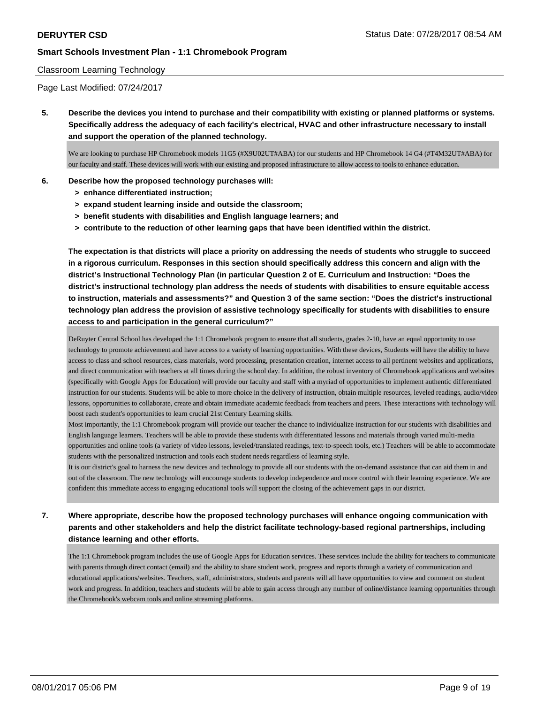#### Classroom Learning Technology

Page Last Modified: 07/24/2017

**5. Describe the devices you intend to purchase and their compatibility with existing or planned platforms or systems. Specifically address the adequacy of each facility's electrical, HVAC and other infrastructure necessary to install and support the operation of the planned technology.**

We are looking to purchase HP Chromebook models 11G5 (#X9U02UT#ABA) for our students and HP Chromebook 14 G4 (#T4M32UT#ABA) for our faculty and staff. These devices will work with our existing and proposed infrastructure to allow access to tools to enhance education.

#### **6. Describe how the proposed technology purchases will:**

- **> enhance differentiated instruction;**
- **> expand student learning inside and outside the classroom;**
- **> benefit students with disabilities and English language learners; and**
- **> contribute to the reduction of other learning gaps that have been identified within the district.**

**The expectation is that districts will place a priority on addressing the needs of students who struggle to succeed in a rigorous curriculum. Responses in this section should specifically address this concern and align with the district's Instructional Technology Plan (in particular Question 2 of E. Curriculum and Instruction: "Does the district's instructional technology plan address the needs of students with disabilities to ensure equitable access to instruction, materials and assessments?" and Question 3 of the same section: "Does the district's instructional technology plan address the provision of assistive technology specifically for students with disabilities to ensure access to and participation in the general curriculum?"**

DeRuyter Central School has developed the 1:1 Chromebook program to ensure that all students, grades 2-10, have an equal opportunity to use technology to promote achievement and have access to a variety of learning opportunities. With these devices, Students will have the ability to have access to class and school resources, class materials, word processing, presentation creation, internet access to all pertinent websites and applications, and direct communication with teachers at all times during the school day. In addition, the robust inventory of Chromebook applications and websites (specifically with Google Apps for Education) will provide our faculty and staff with a myriad of opportunities to implement authentic differentiated instruction for our students. Students will be able to more choice in the delivery of instruction, obtain multiple resources, leveled readings, audio/video lessons, opportunities to collaborate, create and obtain immediate academic feedback from teachers and peers. These interactions with technology will boost each student's opportunities to learn crucial 21st Century Learning skills.

Most importantly, the 1:1 Chromebook program will provide our teacher the chance to individualize instruction for our students with disabilities and English language learners. Teachers will be able to provide these students with differentiated lessons and materials through varied multi-media opportunities and online tools (a variety of video lessons, leveled/translated readings, text-to-speech tools, etc.) Teachers will be able to accommodate students with the personalized instruction and tools each student needs regardless of learning style.

It is our district's goal to harness the new devices and technology to provide all our students with the on-demand assistance that can aid them in and out of the classroom. The new technology will encourage students to develop independence and more control with their learning experience. We are confident this immediate access to engaging educational tools will support the closing of the achievement gaps in our district.

# **7. Where appropriate, describe how the proposed technology purchases will enhance ongoing communication with parents and other stakeholders and help the district facilitate technology-based regional partnerships, including distance learning and other efforts.**

The 1:1 Chromebook program includes the use of Google Apps for Education services. These services include the ability for teachers to communicate with parents through direct contact (email) and the ability to share student work, progress and reports through a variety of communication and educational applications/websites. Teachers, staff, administrators, students and parents will all have opportunities to view and comment on student work and progress. In addition, teachers and students will be able to gain access through any number of online/distance learning opportunities through the Chromebook's webcam tools and online streaming platforms.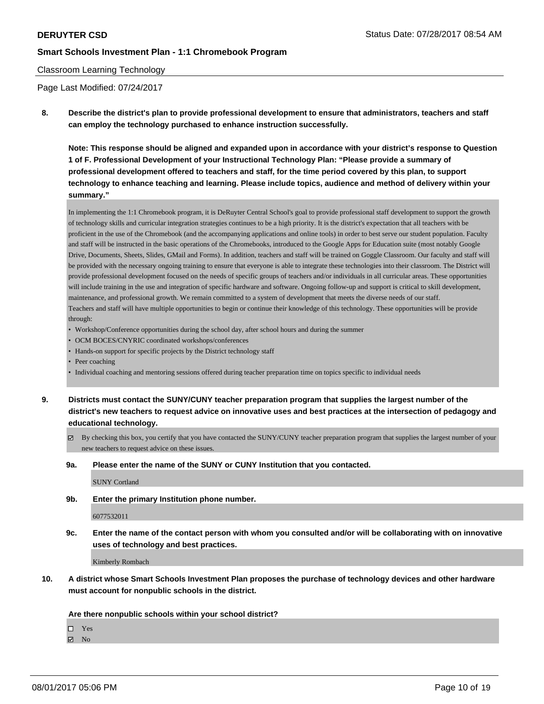#### Classroom Learning Technology

Page Last Modified: 07/24/2017

**8. Describe the district's plan to provide professional development to ensure that administrators, teachers and staff can employ the technology purchased to enhance instruction successfully.**

**Note: This response should be aligned and expanded upon in accordance with your district's response to Question 1 of F. Professional Development of your Instructional Technology Plan: "Please provide a summary of professional development offered to teachers and staff, for the time period covered by this plan, to support technology to enhance teaching and learning. Please include topics, audience and method of delivery within your summary."**

In implementing the 1:1 Chromebook program, it is DeRuyter Central School's goal to provide professional staff development to support the growth of technology skills and curricular integration strategies continues to be a high priority. It is the district's expectation that all teachers with be proficient in the use of the Chromebook (and the accompanying applications and online tools) in order to best serve our student population. Faculty and staff will be instructed in the basic operations of the Chromebooks, introduced to the Google Apps for Education suite (most notably Google Drive, Documents, Sheets, Slides, GMail and Forms). In addition, teachers and staff will be trained on Goggle Classroom. Our faculty and staff will be provided with the necessary ongoing training to ensure that everyone is able to integrate these technologies into their classroom. The District will provide professional development focused on the needs of specific groups of teachers and/or individuals in all curricular areas. These opportunities will include training in the use and integration of specific hardware and software. Ongoing follow-up and support is critical to skill development, maintenance, and professional growth. We remain committed to a system of development that meets the diverse needs of our staff. Teachers and staff will have multiple opportunities to begin or continue their knowledge of this technology. These opportunities will be provide through:

- Workshop/Conference opportunities during the school day, after school hours and during the summer
- OCM BOCES/CNYRIC coordinated workshops/conferences
- Hands-on support for specific projects by the District technology staff
- Peer coaching
- Individual coaching and mentoring sessions offered during teacher preparation time on topics specific to individual needs
- **9. Districts must contact the SUNY/CUNY teacher preparation program that supplies the largest number of the district's new teachers to request advice on innovative uses and best practices at the intersection of pedagogy and educational technology.**
	- $\boxtimes$  By checking this box, you certify that you have contacted the SUNY/CUNY teacher preparation program that supplies the largest number of your new teachers to request advice on these issues.
	- **9a. Please enter the name of the SUNY or CUNY Institution that you contacted.**

SUNY Cortland

**9b. Enter the primary Institution phone number.**

6077532011

**9c. Enter the name of the contact person with whom you consulted and/or will be collaborating with on innovative uses of technology and best practices.**

Kimberly Rombach

**10. A district whose Smart Schools Investment Plan proposes the purchase of technology devices and other hardware must account for nonpublic schools in the district.**

#### **Are there nonpublic schools within your school district?**

Yes

 $\boxtimes$  No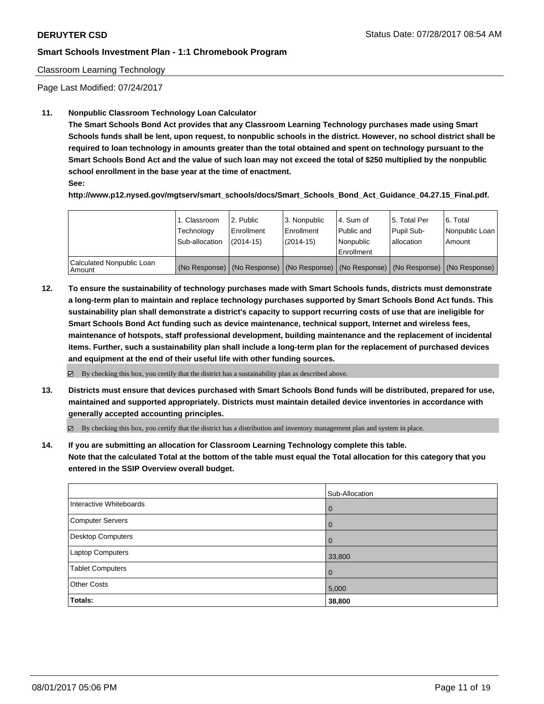#### Classroom Learning Technology

Page Last Modified: 07/24/2017

#### **11. Nonpublic Classroom Technology Loan Calculator**

**The Smart Schools Bond Act provides that any Classroom Learning Technology purchases made using Smart Schools funds shall be lent, upon request, to nonpublic schools in the district. However, no school district shall be required to loan technology in amounts greater than the total obtained and spent on technology pursuant to the Smart Schools Bond Act and the value of such loan may not exceed the total of \$250 multiplied by the nonpublic school enrollment in the base year at the time of enactment.**

**See:**

**http://www.p12.nysed.gov/mgtserv/smart\_schools/docs/Smart\_Schools\_Bond\_Act\_Guidance\_04.27.15\_Final.pdf.**

|                                       | 1. Classroom<br>Technology<br>Sub-allocation | 2. Public<br>Enrollment<br>$(2014-15)$ | 3. Nonpublic<br>Enrollment<br>$(2014-15)$ | l 4. Sum of<br>l Public and<br>l Nonpublic<br>l Enrollment | 15. Total Per<br>Pupil Sub-<br>lallocation | 6. Total<br>Nonpublic Loan  <br>Amount                                                        |
|---------------------------------------|----------------------------------------------|----------------------------------------|-------------------------------------------|------------------------------------------------------------|--------------------------------------------|-----------------------------------------------------------------------------------------------|
| Calculated Nonpublic Loan<br>l Amount |                                              |                                        |                                           |                                                            |                                            | (No Response)   (No Response)   (No Response)   (No Response)   (No Response)   (No Response) |

**12. To ensure the sustainability of technology purchases made with Smart Schools funds, districts must demonstrate a long-term plan to maintain and replace technology purchases supported by Smart Schools Bond Act funds. This sustainability plan shall demonstrate a district's capacity to support recurring costs of use that are ineligible for Smart Schools Bond Act funding such as device maintenance, technical support, Internet and wireless fees, maintenance of hotspots, staff professional development, building maintenance and the replacement of incidental items. Further, such a sustainability plan shall include a long-term plan for the replacement of purchased devices and equipment at the end of their useful life with other funding sources.**

 $\boxtimes$  By checking this box, you certify that the district has a sustainability plan as described above.

**13. Districts must ensure that devices purchased with Smart Schools Bond funds will be distributed, prepared for use, maintained and supported appropriately. Districts must maintain detailed device inventories in accordance with generally accepted accounting principles.**

By checking this box, you certify that the district has a distribution and inventory management plan and system in place.

**14. If you are submitting an allocation for Classroom Learning Technology complete this table. Note that the calculated Total at the bottom of the table must equal the Total allocation for this category that you entered in the SSIP Overview overall budget.**

|                         | Sub-Allocation |
|-------------------------|----------------|
| Interactive Whiteboards | $\overline{0}$ |
| Computer Servers        | $\overline{0}$ |
| Desktop Computers       | $\overline{0}$ |
| Laptop Computers        | 33,800         |
| <b>Tablet Computers</b> | $\overline{0}$ |
| <b>Other Costs</b>      | 5,000          |
| Totals:                 | 38,800         |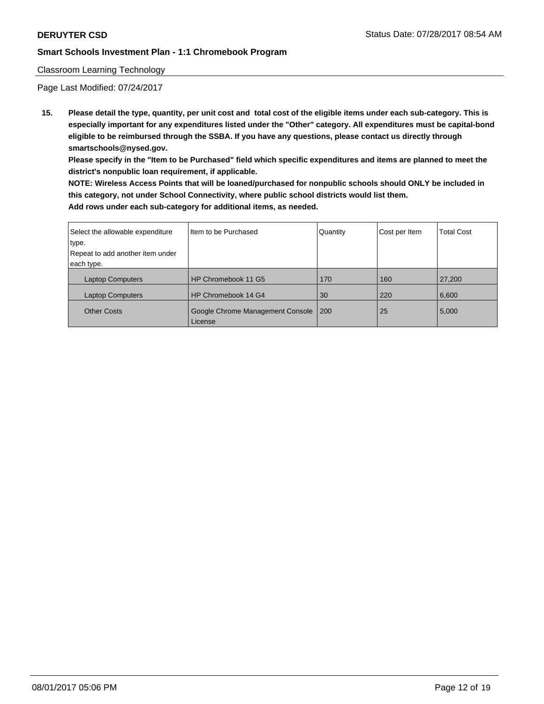## Classroom Learning Technology

Page Last Modified: 07/24/2017

**15. Please detail the type, quantity, per unit cost and total cost of the eligible items under each sub-category. This is especially important for any expenditures listed under the "Other" category. All expenditures must be capital-bond eligible to be reimbursed through the SSBA. If you have any questions, please contact us directly through smartschools@nysed.gov.**

**Please specify in the "Item to be Purchased" field which specific expenditures and items are planned to meet the district's nonpublic loan requirement, if applicable.**

**NOTE: Wireless Access Points that will be loaned/purchased for nonpublic schools should ONLY be included in this category, not under School Connectivity, where public school districts would list them. Add rows under each sub-category for additional items, as needed.**

| Select the allowable expenditure | Iltem to be Purchased                       | Quantity | Cost per Item | <b>Total Cost</b> |
|----------------------------------|---------------------------------------------|----------|---------------|-------------------|
| type.                            |                                             |          |               |                   |
| Repeat to add another item under |                                             |          |               |                   |
| each type.                       |                                             |          |               |                   |
| <b>Laptop Computers</b>          | HP Chromebook 11 G5                         | 170      | 160           | 27,200            |
| <b>Laptop Computers</b>          | HP Chromebook 14 G4                         | 30       | 220           | 6,600             |
| <b>Other Costs</b>               | Google Chrome Management Console<br>License | 200      | 25            | 5,000             |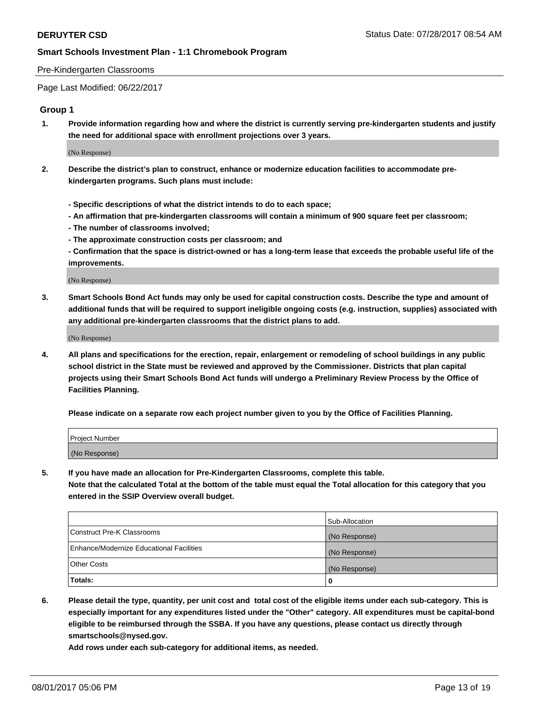#### Pre-Kindergarten Classrooms

Page Last Modified: 06/22/2017

### **Group 1**

**1. Provide information regarding how and where the district is currently serving pre-kindergarten students and justify the need for additional space with enrollment projections over 3 years.**

(No Response)

- **2. Describe the district's plan to construct, enhance or modernize education facilities to accommodate prekindergarten programs. Such plans must include:**
	- **Specific descriptions of what the district intends to do to each space;**
	- **An affirmation that pre-kindergarten classrooms will contain a minimum of 900 square feet per classroom;**
	- **The number of classrooms involved;**
	- **The approximate construction costs per classroom; and**
	- **Confirmation that the space is district-owned or has a long-term lease that exceeds the probable useful life of the improvements.**

(No Response)

**3. Smart Schools Bond Act funds may only be used for capital construction costs. Describe the type and amount of additional funds that will be required to support ineligible ongoing costs (e.g. instruction, supplies) associated with any additional pre-kindergarten classrooms that the district plans to add.**

(No Response)

**4. All plans and specifications for the erection, repair, enlargement or remodeling of school buildings in any public school district in the State must be reviewed and approved by the Commissioner. Districts that plan capital projects using their Smart Schools Bond Act funds will undergo a Preliminary Review Process by the Office of Facilities Planning.**

**Please indicate on a separate row each project number given to you by the Office of Facilities Planning.**

| Project Number |  |
|----------------|--|
| (No Response)  |  |

**5. If you have made an allocation for Pre-Kindergarten Classrooms, complete this table. Note that the calculated Total at the bottom of the table must equal the Total allocation for this category that you entered in the SSIP Overview overall budget.**

| Totals:                                  | 0              |
|------------------------------------------|----------------|
| Other Costs                              | (No Response)  |
| Enhance/Modernize Educational Facilities | (No Response)  |
| Construct Pre-K Classrooms               | (No Response)  |
|                                          | Sub-Allocation |

**6. Please detail the type, quantity, per unit cost and total cost of the eligible items under each sub-category. This is especially important for any expenditures listed under the "Other" category. All expenditures must be capital-bond eligible to be reimbursed through the SSBA. If you have any questions, please contact us directly through smartschools@nysed.gov.**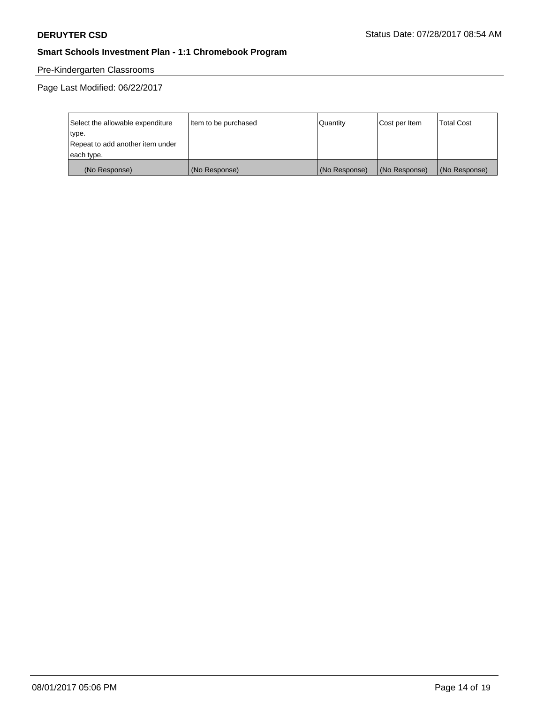# Pre-Kindergarten Classrooms

Page Last Modified: 06/22/2017

| Select the allowable expenditure | Item to be purchased | Quantity      | Cost per Item | <b>Total Cost</b> |
|----------------------------------|----------------------|---------------|---------------|-------------------|
| type.                            |                      |               |               |                   |
| Repeat to add another item under |                      |               |               |                   |
| each type.                       |                      |               |               |                   |
| (No Response)                    | (No Response)        | (No Response) | (No Response) | (No Response)     |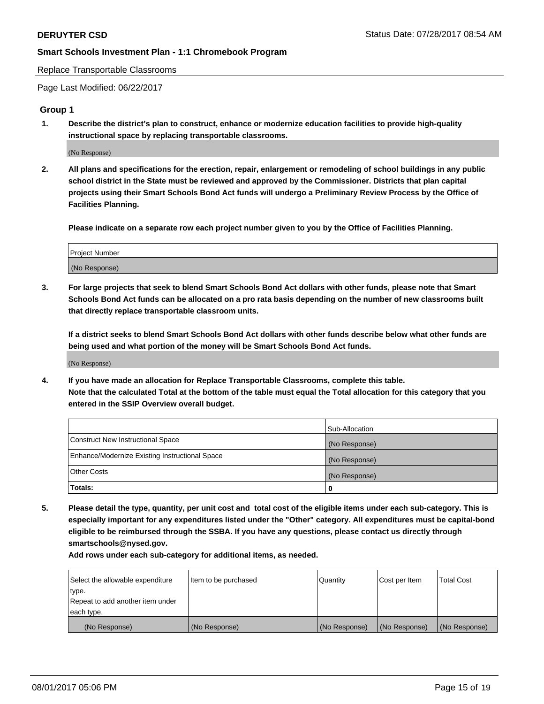Replace Transportable Classrooms

Page Last Modified: 06/22/2017

### **Group 1**

**1. Describe the district's plan to construct, enhance or modernize education facilities to provide high-quality instructional space by replacing transportable classrooms.**

(No Response)

**2. All plans and specifications for the erection, repair, enlargement or remodeling of school buildings in any public school district in the State must be reviewed and approved by the Commissioner. Districts that plan capital projects using their Smart Schools Bond Act funds will undergo a Preliminary Review Process by the Office of Facilities Planning.**

**Please indicate on a separate row each project number given to you by the Office of Facilities Planning.**

| Project Number |  |
|----------------|--|
| (No Response)  |  |

**3. For large projects that seek to blend Smart Schools Bond Act dollars with other funds, please note that Smart Schools Bond Act funds can be allocated on a pro rata basis depending on the number of new classrooms built that directly replace transportable classroom units.**

**If a district seeks to blend Smart Schools Bond Act dollars with other funds describe below what other funds are being used and what portion of the money will be Smart Schools Bond Act funds.**

(No Response)

**4. If you have made an allocation for Replace Transportable Classrooms, complete this table. Note that the calculated Total at the bottom of the table must equal the Total allocation for this category that you entered in the SSIP Overview overall budget.**

|                                                | Sub-Allocation |
|------------------------------------------------|----------------|
| Construct New Instructional Space              | (No Response)  |
| Enhance/Modernize Existing Instructional Space | (No Response)  |
| Other Costs                                    | (No Response)  |
| Totals:                                        | 0              |

**5. Please detail the type, quantity, per unit cost and total cost of the eligible items under each sub-category. This is especially important for any expenditures listed under the "Other" category. All expenditures must be capital-bond eligible to be reimbursed through the SSBA. If you have any questions, please contact us directly through smartschools@nysed.gov.**

| Select the allowable expenditure | Item to be purchased | Quantity      | Cost per Item | <b>Total Cost</b> |
|----------------------------------|----------------------|---------------|---------------|-------------------|
| type.                            |                      |               |               |                   |
| Repeat to add another item under |                      |               |               |                   |
| each type.                       |                      |               |               |                   |
| (No Response)                    | (No Response)        | (No Response) | (No Response) | (No Response)     |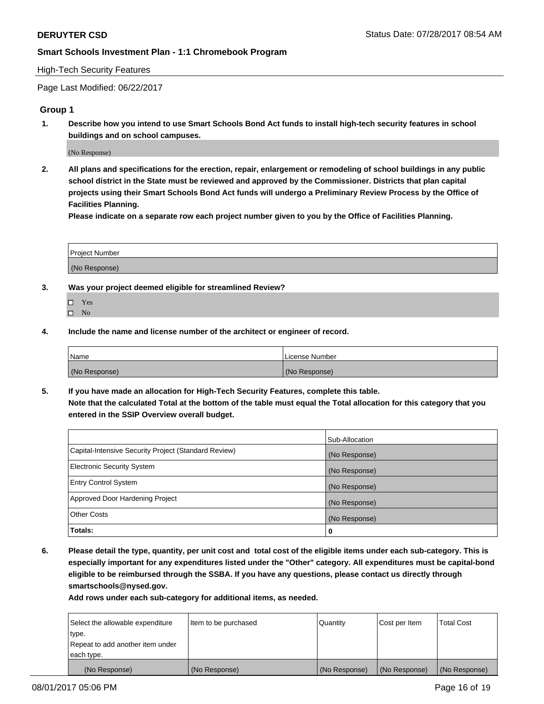#### High-Tech Security Features

Page Last Modified: 06/22/2017

### **Group 1**

**1. Describe how you intend to use Smart Schools Bond Act funds to install high-tech security features in school buildings and on school campuses.**

(No Response)

**2. All plans and specifications for the erection, repair, enlargement or remodeling of school buildings in any public school district in the State must be reviewed and approved by the Commissioner. Districts that plan capital projects using their Smart Schools Bond Act funds will undergo a Preliminary Review Process by the Office of Facilities Planning.** 

**Please indicate on a separate row each project number given to you by the Office of Facilities Planning.**

| Project Number |  |
|----------------|--|
|                |  |
|                |  |
|                |  |
| (No Response)  |  |
|                |  |

- **3. Was your project deemed eligible for streamlined Review?**
	- Yes  $\hfill \square$  No
- **4. Include the name and license number of the architect or engineer of record.**

| <b>Name</b>   | License Number |
|---------------|----------------|
| (No Response) | (No Response)  |

**5. If you have made an allocation for High-Tech Security Features, complete this table. Note that the calculated Total at the bottom of the table must equal the Total allocation for this category that you entered in the SSIP Overview overall budget.**

|                                                      | Sub-Allocation |
|------------------------------------------------------|----------------|
| Capital-Intensive Security Project (Standard Review) | (No Response)  |
| <b>Electronic Security System</b>                    | (No Response)  |
| <b>Entry Control System</b>                          | (No Response)  |
| Approved Door Hardening Project                      | (No Response)  |
| <b>Other Costs</b>                                   | (No Response)  |
| Totals:                                              | 0              |

**6. Please detail the type, quantity, per unit cost and total cost of the eligible items under each sub-category. This is especially important for any expenditures listed under the "Other" category. All expenditures must be capital-bond eligible to be reimbursed through the SSBA. If you have any questions, please contact us directly through smartschools@nysed.gov.**

| (No Response)                    | (No Response)        | (No Response)   | (No Response) | (No Response)     |
|----------------------------------|----------------------|-----------------|---------------|-------------------|
| each type.                       |                      |                 |               |                   |
| Repeat to add another item under |                      |                 |               |                   |
| type.                            |                      |                 |               |                   |
| Select the allowable expenditure | Item to be purchased | <b>Quantity</b> | Cost per Item | <b>Total Cost</b> |
|                                  |                      |                 |               |                   |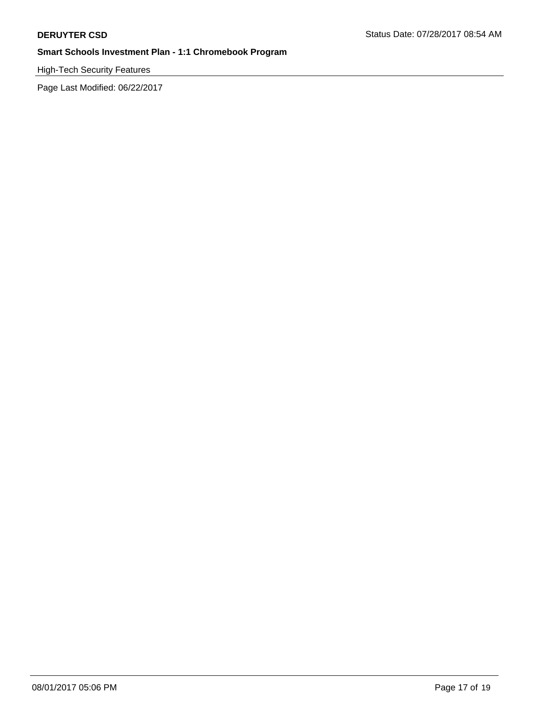High-Tech Security Features

Page Last Modified: 06/22/2017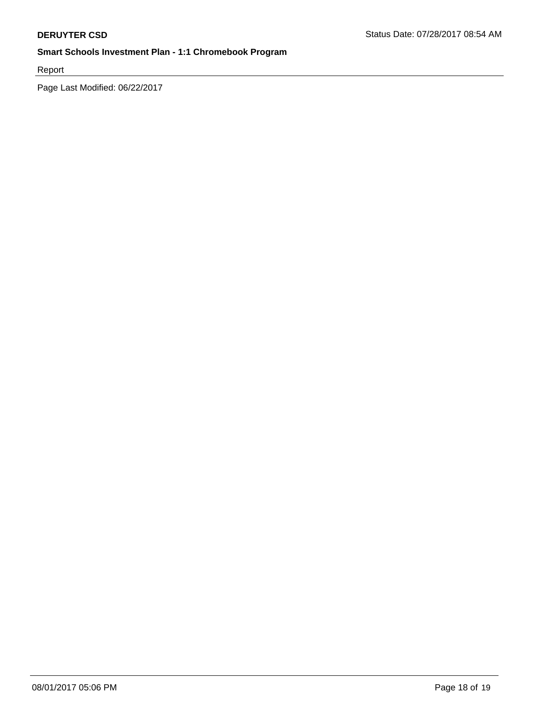Report

Page Last Modified: 06/22/2017